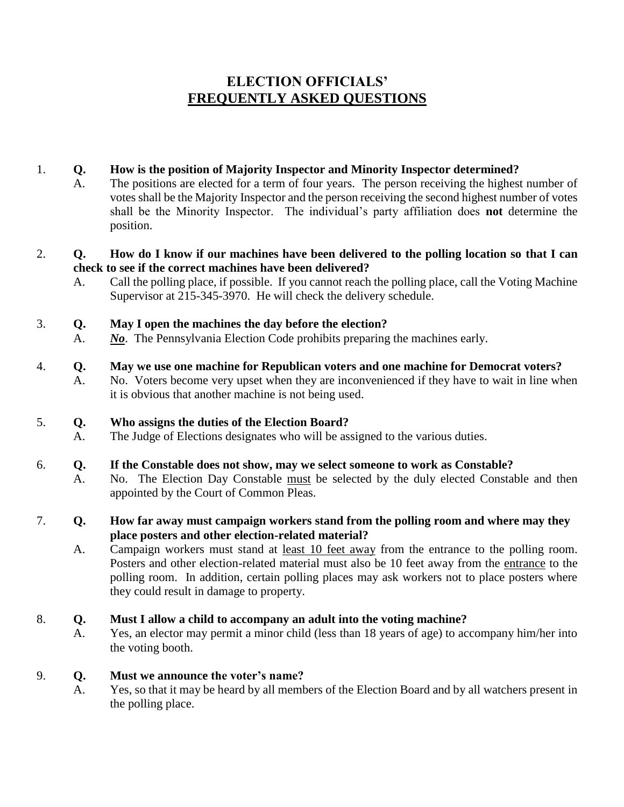# **ELECTION OFFICIALS' FREQUENTLY ASKED QUESTIONS**

### 1. **Q. How is the position of Majority Inspector and Minority Inspector determined?**

A. The positions are elected for a term of four years. The person receiving the highest number of votes shall be the Majority Inspector and the person receiving the second highest number of votes shall be the Minority Inspector. The individual's party affiliation does **not** determine the position.

#### 2. **Q. How do I know if our machines have been delivered to the polling location so that I can check to see if the correct machines have been delivered?**

A. Call the polling place, if possible. If you cannot reach the polling place, call the Voting Machine Supervisor at 215-345-3970. He will check the delivery schedule.

### 3. **Q. May I open the machines the day before the election?**

A. *No*. The Pennsylvania Election Code prohibits preparing the machines early.

### 4. **Q. May we use one machine for Republican voters and one machine for Democrat voters?**

A. No. Voters become very upset when they are inconvenienced if they have to wait in line when it is obvious that another machine is not being used.

### 5. **Q. Who assigns the duties of the Election Board?**

A. The Judge of Elections designates who will be assigned to the various duties.

## 6. **Q. If the Constable does not show, may we select someone to work as Constable?**

A. No. The Election Day Constable must be selected by the duly elected Constable and then appointed by the Court of Common Pleas.

### 7. **Q. How far away must campaign workers stand from the polling room and where may they place posters and other election-related material?**

A. Campaign workers must stand at least 10 feet away from the entrance to the polling room. Posters and other election-related material must also be 10 feet away from the entrance to the polling room. In addition, certain polling places may ask workers not to place posters where they could result in damage to property.

### 8. **Q. Must I allow a child to accompany an adult into the voting machine?**

A. Yes, an elector may permit a minor child (less than 18 years of age) to accompany him/her into the voting booth.

### 9. **Q. Must we announce the voter's name?**

A. Yes, so that it may be heard by all members of the Election Board and by all watchers present in the polling place.